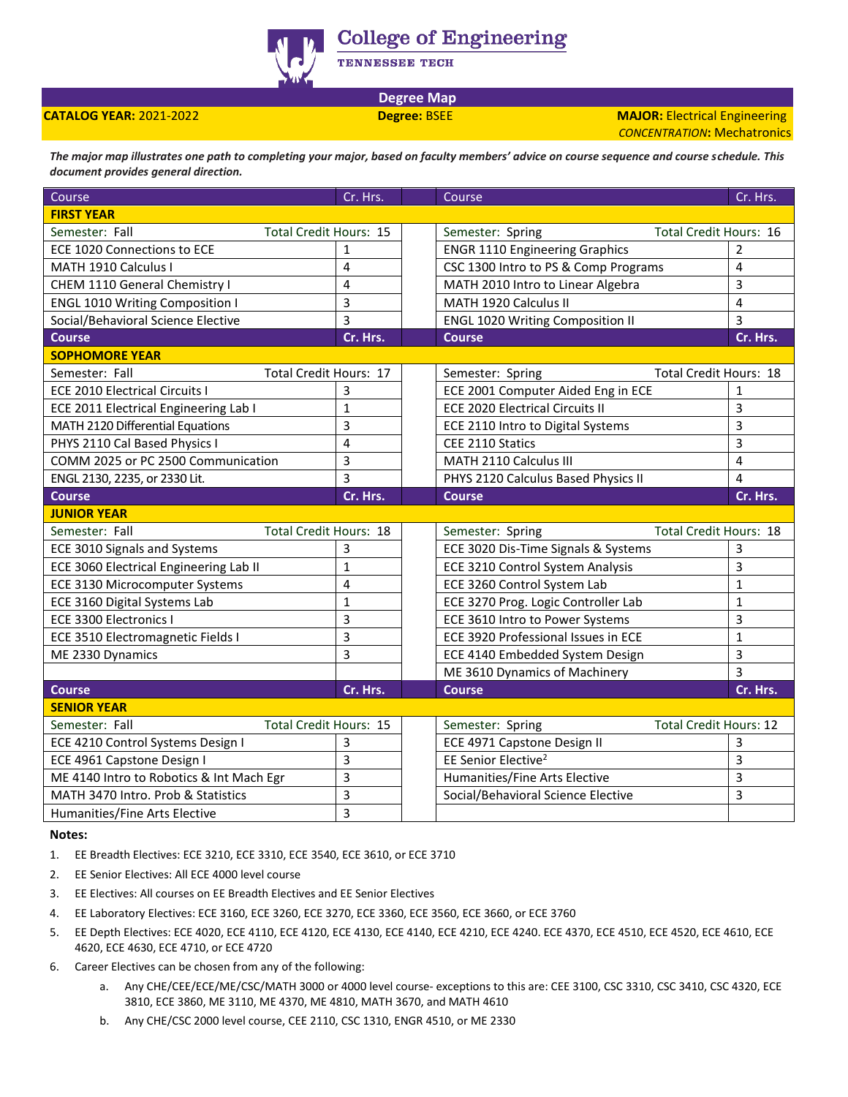

## **College of Engineering**

**TENNESSEE TECH** 

**Degree Map**

**CATALOG YEAR:** 2021-2022 **Degree:** BSEE **MAJOR:** Electrical Engineering

*CONCENTRATION***:** Mechatronics

*The major map illustrates one path to completing your major, based on faculty members' advice on course sequence and course schedule. This document provides general direction.* 

| Course                                          | Cr. Hrs.       |                                                   | Course                                            | Cr. Hrs.       |
|-------------------------------------------------|----------------|---------------------------------------------------|---------------------------------------------------|----------------|
| <b>FIRST YEAR</b>                               |                |                                                   |                                                   |                |
| Semester: Fall<br>Total Credit Hours: 15        |                |                                                   | Total Credit Hours: 16<br>Semester: Spring        |                |
| ECE 1020 Connections to ECE                     | $\mathbf{1}$   |                                                   | <b>ENGR 1110 Engineering Graphics</b>             | $\overline{2}$ |
| MATH 1910 Calculus I                            | 4              |                                                   | CSC 1300 Intro to PS & Comp Programs              | 4              |
| CHEM 1110 General Chemistry I                   | 4              |                                                   | MATH 2010 Intro to Linear Algebra                 | 3              |
| <b>ENGL 1010 Writing Composition I</b>          | 3              |                                                   | MATH 1920 Calculus II                             | 4              |
| Social/Behavioral Science Elective              | 3              |                                                   | <b>ENGL 1020 Writing Composition II</b>           | 3              |
| <b>Course</b>                                   | Cr. Hrs.       |                                                   | <b>Course</b>                                     | Cr. Hrs.       |
| <b>SOPHOMORE YEAR</b>                           |                |                                                   |                                                   |                |
| Semester: Fall<br><b>Total Credit Hours: 17</b> |                |                                                   | <b>Total Credit Hours: 18</b><br>Semester: Spring |                |
| <b>ECE 2010 Electrical Circuits I</b>           | 3              |                                                   | ECE 2001 Computer Aided Eng in ECE                | $\mathbf{1}$   |
| ECE 2011 Electrical Engineering Lab I           | $\mathbf{1}$   |                                                   | <b>ECE 2020 Electrical Circuits II</b>            | 3              |
| MATH 2120 Differential Equations                | 3              |                                                   | ECE 2110 Intro to Digital Systems                 | 3              |
| PHYS 2110 Cal Based Physics I                   | $\overline{4}$ |                                                   | CEE 2110 Statics                                  | 3              |
| COMM 2025 or PC 2500 Communication              | 3              |                                                   | MATH 2110 Calculus III                            | $\overline{4}$ |
| ENGL 2130, 2235, or 2330 Lit.                   | 3              |                                                   | PHYS 2120 Calculus Based Physics II               | $\overline{4}$ |
| <b>Course</b>                                   | Cr. Hrs.       |                                                   | <b>Course</b>                                     | Cr. Hrs.       |
| <b>JUNIOR YEAR</b>                              |                |                                                   |                                                   |                |
| Semester: Fall<br>Total Credit Hours: 18        |                |                                                   | Total Credit Hours: 18<br>Semester: Spring        |                |
| ECE 3010 Signals and Systems                    | 3              |                                                   | ECE 3020 Dis-Time Signals & Systems               | 3              |
| ECE 3060 Electrical Engineering Lab II          | $\mathbf{1}$   |                                                   | ECE 3210 Control System Analysis                  | 3              |
| ECE 3130 Microcomputer Systems                  | 4              |                                                   | ECE 3260 Control System Lab                       | $\mathbf{1}$   |
| ECE 3160 Digital Systems Lab                    | $\mathbf{1}$   |                                                   | ECE 3270 Prog. Logic Controller Lab               | $\mathbf 1$    |
| <b>ECE 3300 Electronics I</b>                   | 3              |                                                   | ECE 3610 Intro to Power Systems                   | 3              |
| ECE 3510 Electromagnetic Fields I               | 3              |                                                   | ECE 3920 Professional Issues in ECE               | $\mathbf{1}$   |
| ME 2330 Dynamics                                | 3              |                                                   | ECE 4140 Embedded System Design                   | 3              |
|                                                 |                |                                                   | ME 3610 Dynamics of Machinery                     | 3              |
| <b>Course</b>                                   | Cr. Hrs.       |                                                   | <b>Course</b>                                     | Cr. Hrs.       |
| <b>SENIOR YEAR</b>                              |                |                                                   |                                                   |                |
| Semester: Fall<br><b>Total Credit Hours: 15</b> |                | <b>Total Credit Hours: 12</b><br>Semester: Spring |                                                   |                |
| ECE 4210 Control Systems Design I               | 3              |                                                   | ECE 4971 Capstone Design II                       | 3              |
| ECE 4961 Capstone Design I                      | 3              |                                                   | EE Senior Elective <sup>2</sup>                   | 3              |
| ME 4140 Intro to Robotics & Int Mach Egr        | 3              |                                                   | Humanities/Fine Arts Elective                     | 3              |
| MATH 3470 Intro. Prob & Statistics              | 3              |                                                   | Social/Behavioral Science Elective                | 3              |
| Humanities/Fine Arts Elective                   | 3              |                                                   |                                                   |                |

**Notes:**

1. EE Breadth Electives: ECE 3210, ECE 3310, ECE 3540, ECE 3610, or ECE 3710

2. EE Senior Electives: All ECE 4000 level course

3. EE Electives: All courses on EE Breadth Electives and EE Senior Electives

4. EE Laboratory Electives: ECE 3160, ECE 3260, ECE 3270, ECE 3360, ECE 3560, ECE 3660, or ECE 3760

5. EE Depth Electives: ECE 4020, ECE 4110, ECE 4120, ECE 4130, ECE 4140, ECE 4210, ECE 4240. ECE 4370, ECE 4510, ECE 4520, ECE 4610, ECE 4620, ECE 4630, ECE 4710, or ECE 4720

6. Career Electives can be chosen from any of the following:

a. Any CHE/CEE/ECE/ME/CSC/MATH 3000 or 4000 level course- exceptions to this are: CEE 3100, CSC 3310, CSC 3410, CSC 4320, ECE 3810, ECE 3860, ME 3110, ME 4370, ME 4810, MATH 3670, and MATH 4610

b. Any CHE/CSC 2000 level course, CEE 2110, CSC 1310, ENGR 4510, or ME 2330